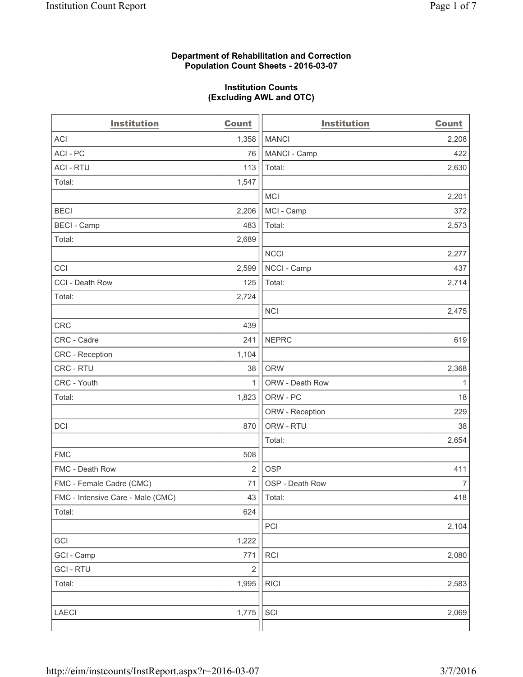### **Department of Rehabilitation and Correction Population Count Sheets - 2016-03-07**

### **Institution Counts (Excluding AWL and OTC)**

| <b>Institution</b>                | Count          | <b>Institution</b> | <b>Count</b>   |
|-----------------------------------|----------------|--------------------|----------------|
| <b>ACI</b>                        | 1,358          | <b>MANCI</b>       | 2,208          |
| ACI-PC                            | 76             | MANCI - Camp       | 422            |
| <b>ACI - RTU</b>                  | 113            | Total:             | 2,630          |
| Total:                            | 1,547          |                    |                |
|                                   |                | <b>MCI</b>         | 2,201          |
| <b>BECI</b>                       | 2,206          | MCI - Camp         | 372            |
| <b>BECI</b> - Camp                | 483            | Total:             | 2,573          |
| Total:                            | 2,689          |                    |                |
|                                   |                | <b>NCCI</b>        | 2,277          |
| CCI                               | 2,599          | NCCI - Camp        | 437            |
| CCI - Death Row                   | 125            | Total:             | 2,714          |
| Total:                            | 2,724          |                    |                |
|                                   |                | <b>NCI</b>         | 2,475          |
| <b>CRC</b>                        | 439            |                    |                |
| CRC - Cadre                       | 241            | <b>NEPRC</b>       | 619            |
| CRC - Reception                   | 1,104          |                    |                |
| CRC - RTU                         | 38             | <b>ORW</b>         | 2,368          |
| CRC - Youth                       | $\mathbf{1}$   | ORW - Death Row    | 1              |
| Total:                            | 1,823          | ORW - PC           | 18             |
|                                   |                | ORW - Reception    | 229            |
| DCI                               | 870            | ORW - RTU          | 38             |
|                                   |                | Total:             | 2,654          |
| <b>FMC</b>                        | 508            |                    |                |
| FMC - Death Row                   | $\overline{2}$ | <b>OSP</b>         | 411            |
| FMC - Female Cadre (CMC)          | 71             | OSP - Death Row    | $\overline{7}$ |
| FMC - Intensive Care - Male (CMC) | 43             | Total:             | 418            |
| Total:                            | 624            |                    |                |
|                                   |                | PCI                | 2,104          |
| GCI                               | 1,222          |                    |                |
| GCI - Camp                        | 771            | RCI                | 2,080          |
| <b>GCI-RTU</b>                    | $\mathbf 2$    |                    |                |
| Total:                            | 1,995          | <b>RICI</b>        | 2,583          |
|                                   |                |                    |                |
| LAECI                             | 1,775          | SCI                | 2,069          |
|                                   |                |                    |                |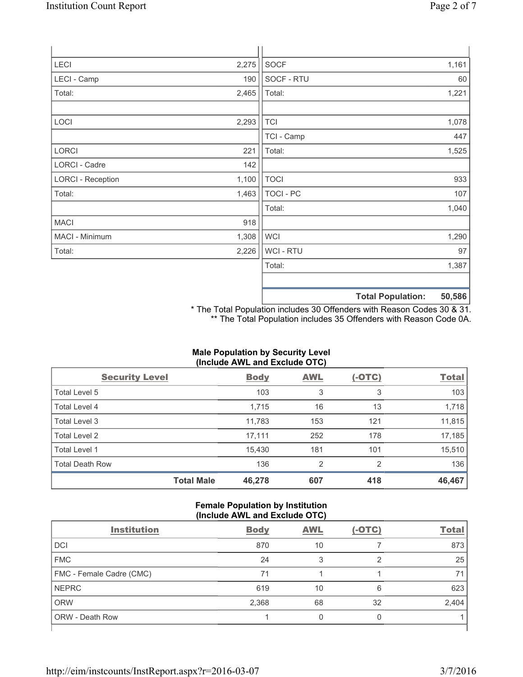| <b>LECI</b>              | 2,275 | <b>SOCF</b>      |                          | 1,161  |
|--------------------------|-------|------------------|--------------------------|--------|
| LECI - Camp              | 190   | SOCF - RTU       |                          | 60     |
| Total:                   | 2,465 | Total:           |                          | 1,221  |
|                          |       |                  |                          |        |
| LOCI                     | 2,293 | <b>TCI</b>       |                          | 1,078  |
|                          |       | TCI - Camp       |                          | 447    |
| LORCI                    | 221   | Total:           |                          | 1,525  |
| LORCI - Cadre            | 142   |                  |                          |        |
| <b>LORCI - Reception</b> | 1,100 | <b>TOCI</b>      |                          | 933    |
| Total:                   | 1,463 | <b>TOCI - PC</b> |                          | 107    |
|                          |       | Total:           |                          | 1,040  |
| <b>MACI</b>              | 918   |                  |                          |        |
| MACI - Minimum           | 1,308 | <b>WCI</b>       |                          | 1,290  |
| Total:                   | 2,226 | <b>WCI-RTU</b>   |                          | 97     |
|                          |       | Total:           |                          | 1,387  |
|                          |       |                  |                          |        |
|                          |       |                  | <b>Total Population:</b> | 50,586 |

\* The Total Population includes 30 Offenders with Reason Codes 30 & 31. \*\* The Total Population includes 35 Offenders with Reason Code 0A.

# **Male Population by Security Level (Include AWL and Exclude OTC)**

| <b>Security Level</b>  |                   | <b>Body</b> | <b>AWL</b>     | $(-OTC)$ | <b>Total</b> |
|------------------------|-------------------|-------------|----------------|----------|--------------|
| Total Level 5          |                   | 103         | 3              | 3        | 103          |
| Total Level 4          |                   | 1,715       | 16             | 13       | 1,718        |
| Total Level 3          |                   | 11,783      | 153            | 121      | 11,815       |
| Total Level 2          |                   | 17,111      | 252            | 178      | 17,185       |
| <b>Total Level 1</b>   |                   | 15,430      | 181            | 101      | 15,510       |
| <b>Total Death Row</b> |                   | 136         | $\overline{2}$ | 2        | 136          |
|                        | <b>Total Male</b> | 46,278      | 607            | 418      | 46,467       |

### **Female Population by Institution (Include AWL and Exclude OTC)**

| <b>Institution</b>       | <b>Body</b> | <b>AWL</b> | $(-OTC)$ | <b>Total</b> |
|--------------------------|-------------|------------|----------|--------------|
| <b>DCI</b>               | 870         | 10         |          | 873          |
| <b>FMC</b>               | 24          | 3          | っ        | 25           |
| FMC - Female Cadre (CMC) | 71          |            |          | 7'           |
| <b>NEPRC</b>             | 619         | 10         | 6        | 623          |
| <b>ORW</b>               | 2,368       | 68         | 32       | 2,404        |
| <b>ORW - Death Row</b>   |             |            |          |              |
|                          |             |            |          |              |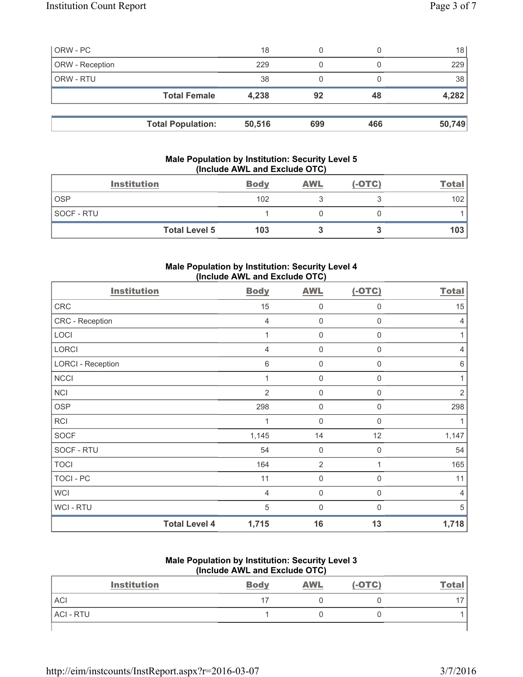| ORW - PC        |                          | 18     | 0   |     | 18              |
|-----------------|--------------------------|--------|-----|-----|-----------------|
| ORW - Reception |                          | 229    | 0   |     | 229             |
| ORW - RTU       |                          | 38     |     |     | 38 <sub>1</sub> |
|                 | <b>Total Female</b>      | 4,238  | 92  | 48  | 4,282           |
|                 |                          |        |     |     |                 |
|                 | <b>Total Population:</b> | 50,516 | 699 | 466 | 50,749          |

## **Male Population by Institution: Security Level 5 (Include AWL and Exclude OTC)**

| <b>Institution</b>   | <b>Body</b> | <b>AWL</b> | $(-OTC)$ | <u>Total</u> |
|----------------------|-------------|------------|----------|--------------|
| <b>OSP</b>           | 102         |            |          | 102          |
| <b>SOCF - RTU</b>    |             |            |          |              |
| <b>Total Level 5</b> | 103         |            |          | 103          |

## **Male Population by Institution: Security Level 4 (Include AWL and Exclude OTC)**

| <b>Institution</b>       |                      | <b>Body</b>     | <b>AWL</b>     | $(-OTC)$     | <b>Total</b>    |
|--------------------------|----------------------|-----------------|----------------|--------------|-----------------|
| CRC                      |                      | 15              | 0              | 0            | 15              |
| CRC - Reception          |                      | 4               | $\mathbf 0$    | 0            | 4               |
| LOCI                     |                      | 1               | $\mathbf 0$    | $\mathbf 0$  | 1               |
| <b>LORCI</b>             |                      | $\overline{4}$  | $\mathbf 0$    | $\mathbf 0$  | $\overline{4}$  |
| <b>LORCI - Reception</b> |                      | $6\phantom{1}6$ | $\mathbf 0$    | 0            | $6\phantom{1}6$ |
| <b>NCCI</b>              |                      | 1               | $\mathbf 0$    | 0            | 1               |
| <b>NCI</b>               |                      | $\overline{2}$  | $\mathbf 0$    | 0            | $\overline{2}$  |
| <b>OSP</b>               |                      | 298             | $\mathbf 0$    | 0            | 298             |
| <b>RCI</b>               |                      | 1               | $\mathbf 0$    | $\Omega$     |                 |
| <b>SOCF</b>              |                      | 1,145           | 14             | 12           | 1,147           |
| SOCF - RTU               |                      | 54              | 0              | 0            | 54              |
| <b>TOCI</b>              |                      | 164             | $\overline{2}$ |              | 165             |
| <b>TOCI - PC</b>         |                      | 11              | $\mathbf 0$    | 0            | 11              |
| <b>WCI</b>               |                      | $\overline{4}$  | $\mathbf 0$    | 0            | $\overline{4}$  |
| <b>WCI-RTU</b>           |                      | 5               | $\mathbf 0$    | $\mathbf{0}$ | 5               |
|                          | <b>Total Level 4</b> | 1,715           | 16             | 13           | 1,718           |

### **Male Population by Institution: Security Level 3 (Include AWL and Exclude OTC)**

| <b>Institution</b> | <b>Body</b> | <b>AWL</b> | $(-OTC)$ | <b>Total</b> |
|--------------------|-------------|------------|----------|--------------|
| <b>ACI</b>         |             |            |          |              |
| ACI - RTU          |             |            |          |              |
|                    |             |            |          |              |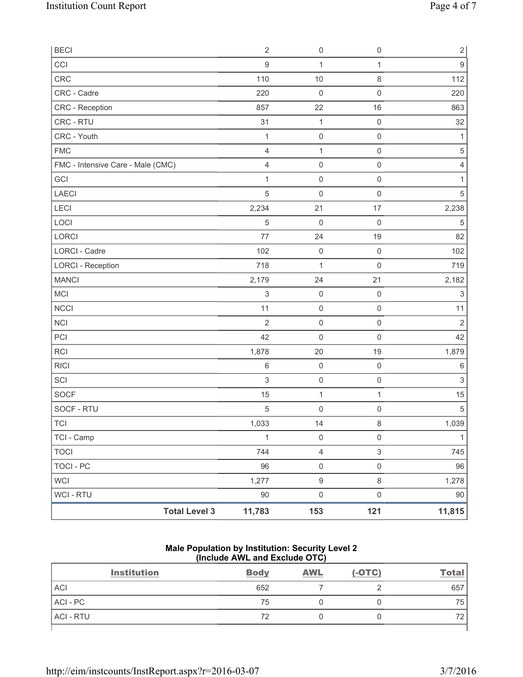| <b>BECI</b>                       | $\sqrt{2}$                | $\mathsf{O}\xspace$     | $\mathsf 0$         | $\overline{c}$            |
|-----------------------------------|---------------------------|-------------------------|---------------------|---------------------------|
| CCI                               | 9                         | 1                       | $\mathbf{1}$        | $\boldsymbol{9}$          |
| <b>CRC</b>                        | 110                       | 10                      | $\,8\,$             | 112                       |
| CRC - Cadre                       | 220                       | $\mathsf{O}\xspace$     | $\mathbf 0$         | 220                       |
| <b>CRC</b> - Reception            | 857                       | 22                      | 16                  | 863                       |
| CRC - RTU                         | 31                        | $\mathbf{1}$            | $\mathsf 0$         | 32                        |
| CRC - Youth                       | $\mathbf{1}$              | $\mathsf{O}\xspace$     | $\mathsf 0$         | $\mathbf{1}$              |
| <b>FMC</b>                        | $\overline{4}$            | $\mathbf{1}$            | $\mathsf{O}\xspace$ | $\,$ 5 $\,$               |
| FMC - Intensive Care - Male (CMC) | 4                         | $\mathsf{O}\xspace$     | $\mathsf 0$         | 4                         |
| GCI                               | $\mathbf{1}$              | $\mathsf{O}\xspace$     | $\mathsf{O}\xspace$ | 1                         |
| LAECI                             | 5                         | $\mathsf{O}\xspace$     | $\mathsf 0$         | 5                         |
| LECI                              | 2,234                     | 21                      | 17                  | 2,238                     |
| LOCI                              | 5                         | $\mathsf{O}\xspace$     | $\mathsf{O}\xspace$ | $\sqrt{5}$                |
| LORCI                             | 77                        | 24                      | 19                  | 82                        |
| <b>LORCI - Cadre</b>              | 102                       | $\mathsf{O}\xspace$     | $\mathsf{O}\xspace$ | 102                       |
| <b>LORCI - Reception</b>          | 718                       | 1                       | $\mathsf 0$         | 719                       |
| <b>MANCI</b>                      | 2,179                     | 24                      | 21                  | 2,182                     |
| MCI                               | $\ensuremath{\mathsf{3}}$ | $\mathsf{O}\xspace$     | $\mathbf 0$         | $\ensuremath{\mathsf{3}}$ |
| <b>NCCI</b>                       | 11                        | $\mathsf{O}\xspace$     | $\mathsf{O}\xspace$ | 11                        |
| <b>NCI</b>                        | $\overline{2}$            | $\mathsf{O}\xspace$     | $\mathsf{O}\xspace$ | $\overline{2}$            |
| PCI                               | 42                        | 0                       | $\mathbf 0$         | 42                        |
| <b>RCI</b>                        | 1,878                     | 20                      | 19                  | 1,879                     |
| <b>RICI</b>                       | 6                         | $\mathsf{O}\xspace$     | $\mathsf{O}\xspace$ | $\,6$                     |
| SCI                               | $\sqrt{3}$                | $\mathsf{O}\xspace$     | $\mathsf{O}\xspace$ | $\ensuremath{\mathsf{3}}$ |
| <b>SOCF</b>                       | 15                        | $\mathbf 1$             | 1                   | 15                        |
| SOCF - RTU                        | 5                         | $\mathsf{O}\xspace$     | $\mathbf 0$         | $\sqrt{5}$                |
| <b>TCI</b>                        | 1,033                     | 14                      | $\,8\,$             | 1,039                     |
| TCI - Camp                        | $\mathbf{1}$              | $\mathsf{O}\xspace$     | $\mathsf{O}\xspace$ | $\mathbf{1}$              |
| <b>TOCI</b>                       | 744                       | $\overline{\mathbf{4}}$ | $\mathsf 3$         | 745                       |
| <b>TOCI - PC</b>                  | 96                        | $\mathsf{O}\xspace$     | $\mathsf 0$         | 96                        |
| <b>WCI</b>                        | 1,277                     | $\boldsymbol{9}$        | $\,8\,$             | 1,278                     |
| <b>WCI - RTU</b>                  | $90\,$                    | $\mathsf{O}\xspace$     | $\mathsf 0$         | 90                        |
| <b>Total Level 3</b>              | 11,783                    | 153                     | 121                 | 11,815                    |

### **Male Population by Institution: Security Level 2 (Include AWL and Exclude OTC)**

| <b>Institution</b> | <b>Body</b> | <b>AWL</b> | $(-OTC)$ | <b>Total</b> |
|--------------------|-------------|------------|----------|--------------|
| <b>ACI</b>         | 652         |            |          | 657          |
| ACI - PC           | 75          |            |          | 75           |
| <b>ACI - RTU</b>   | 72          |            |          | 72           |
|                    |             |            |          |              |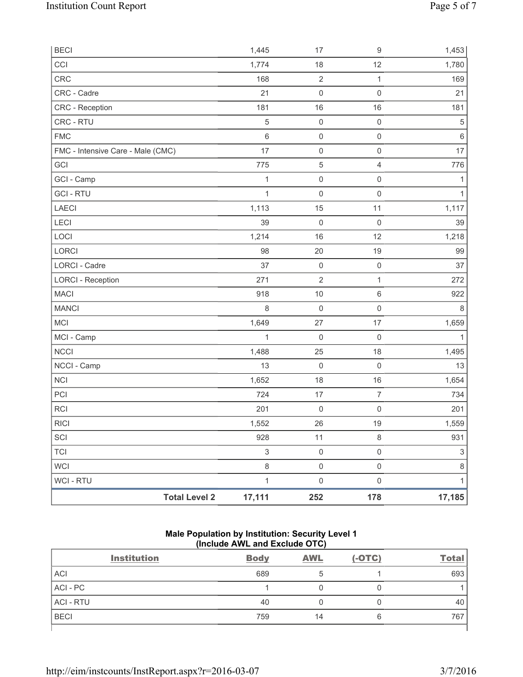| <b>BECI</b>                       | 1,445                          | 17                  | 9                   | 1,453                     |
|-----------------------------------|--------------------------------|---------------------|---------------------|---------------------------|
| CCI                               | 1,774                          | 18                  | 12                  | 1,780                     |
| CRC                               | 168                            | $\sqrt{2}$          | $\mathbf 1$         | 169                       |
| CRC - Cadre                       | 21                             | $\mathsf{O}\xspace$ | $\boldsymbol{0}$    | 21                        |
| CRC - Reception                   | 181                            | 16                  | 16                  | 181                       |
| CRC - RTU                         | 5                              | $\mathsf{O}\xspace$ | $\mathsf 0$         | 5                         |
| <b>FMC</b>                        | $\,6$                          | $\mathsf 0$         | $\mathsf{O}\xspace$ | $\,6\,$                   |
| FMC - Intensive Care - Male (CMC) | 17                             | $\mathsf{O}\xspace$ | $\mathsf{O}\xspace$ | 17                        |
| GCI                               | 775                            | $\,$ 5 $\,$         | 4                   | 776                       |
| GCI - Camp                        | $\mathbf{1}$                   | $\mathsf{O}\xspace$ | $\mathsf{O}\xspace$ | 1                         |
| <b>GCI-RTU</b>                    | $\mathbf{1}$                   | $\mathbf 0$         | $\boldsymbol{0}$    | $\mathbf{1}$              |
| LAECI                             | 1,113                          | 15                  | 11                  | 1,117                     |
| <b>LECI</b>                       | 39                             | $\mathsf{O}\xspace$ | $\mathbf 0$         | 39                        |
| LOCI                              | 1,214                          | 16                  | 12                  | 1,218                     |
| LORCI                             | 98                             | 20                  | 19                  | 99                        |
| <b>LORCI - Cadre</b>              | 37                             | $\mathsf{O}\xspace$ | $\mathsf 0$         | 37                        |
| <b>LORCI - Reception</b>          | 271                            | $\overline{2}$      | $\mathbf{1}$        | 272                       |
| <b>MACI</b>                       | 918                            | 10                  | 6                   | 922                       |
| <b>MANCI</b>                      | 8                              | $\mathsf{O}\xspace$ | $\mathsf{O}\xspace$ | $\,8\,$                   |
| MCI                               | 1,649                          | 27                  | 17                  | 1,659                     |
| MCI - Camp                        | 1                              | 0                   | $\mathbf 0$         | 1                         |
| NCCI                              | 1,488                          | 25                  | 18                  | 1,495                     |
| NCCI - Camp                       | 13                             | $\mathsf{O}\xspace$ | $\mathbf 0$         | 13                        |
| <b>NCI</b>                        | 1,652                          | 18                  | 16                  | 1,654                     |
| PCI                               | 724                            | 17                  | $\overline{7}$      | 734                       |
| <b>RCI</b>                        | 201                            | $\boldsymbol{0}$    | $\boldsymbol{0}$    | 201                       |
| <b>RICI</b>                       | 1,552                          | 26                  | 19                  | 1,559                     |
| SCI                               | 928                            | $11$                | $\,8\,$             | 931                       |
| <b>TCI</b>                        | $\,$ 3 $\,$                    | $\mathsf{O}\xspace$ | $\mathsf{O}\xspace$ | $\ensuremath{\mathsf{3}}$ |
| WCI                               | 8                              | $\mathsf{O}\xspace$ | $\mathsf{O}\xspace$ | $\,8\,$                   |
| <b>WCI-RTU</b>                    | $\mathbf{1}$                   | $\mathsf{O}\xspace$ | $\mathsf{O}\xspace$ | $\mathbf{1}$              |
|                                   | <b>Total Level 2</b><br>17,111 | 252                 | 178                 | 17,185                    |

## **Male Population by Institution: Security Level 1 (Include AWL and Exclude OTC)**

| <b>Institution</b> | <b>Body</b> | <b>AWL</b> | $(-OTC)$ | <b>Total</b> |
|--------------------|-------------|------------|----------|--------------|
| <b>ACI</b>         | 689         | b          |          | 693          |
| ACI - PC           |             |            |          |              |
| <b>ACI - RTU</b>   | 40          |            |          | 40           |
| <b>BECI</b>        | 759         | 14         | 6        | 767          |
|                    |             |            |          |              |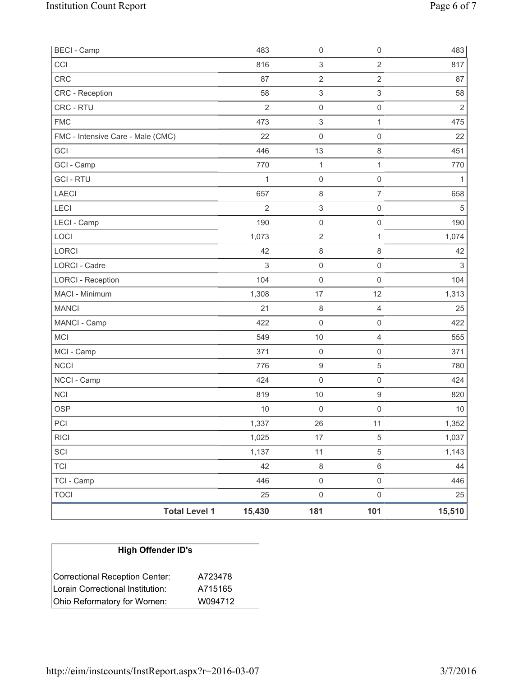| <b>BECI</b> - Camp                |                      | 483            | 0                         | $\mathsf{O}\xspace$       | 483                       |
|-----------------------------------|----------------------|----------------|---------------------------|---------------------------|---------------------------|
| CCI                               |                      | 816            | $\ensuremath{\mathsf{3}}$ | $\sqrt{2}$                | 817                       |
| <b>CRC</b>                        |                      | 87             | $\overline{2}$            | $\overline{2}$            | 87                        |
| CRC - Reception                   |                      | 58             | $\ensuremath{\mathsf{3}}$ | $\ensuremath{\mathsf{3}}$ | 58                        |
| <b>CRC - RTU</b>                  |                      | $\overline{2}$ | $\mathsf 0$               | $\mathsf{O}\xspace$       | $\sqrt{2}$                |
| <b>FMC</b>                        |                      | 473            | $\ensuremath{\mathsf{3}}$ | 1                         | 475                       |
| FMC - Intensive Care - Male (CMC) |                      | 22             | $\mathsf{O}\xspace$       | $\mathsf 0$               | 22                        |
| GCI                               |                      | 446            | 13                        | $\,8\,$                   | 451                       |
| GCI - Camp                        |                      | 770            | $\mathbf 1$               | 1                         | 770                       |
| <b>GCI-RTU</b>                    |                      | $\mathbf{1}$   | $\mathsf 0$               | $\mathsf 0$               | 1                         |
| LAECI                             |                      | 657            | 8                         | 7                         | 658                       |
| LECI                              |                      | $\overline{2}$ | $\ensuremath{\mathsf{3}}$ | $\mathsf 0$               | 5                         |
| LECI - Camp                       |                      | 190            | $\mathsf{O}\xspace$       | $\mathsf{O}\xspace$       | 190                       |
| LOCI                              |                      | 1,073          | $\mathbf 2$               | 1                         | 1,074                     |
| LORCI                             |                      | 42             | 8                         | $\,8\,$                   | 42                        |
| LORCI - Cadre                     |                      | 3              | $\mathsf{O}\xspace$       | $\mathsf 0$               | $\ensuremath{\mathsf{3}}$ |
| <b>LORCI - Reception</b>          |                      | 104            | $\mathsf{O}\xspace$       | $\mathsf 0$               | 104                       |
| MACI - Minimum                    |                      | 1,308          | 17                        | 12                        | 1,313                     |
| <b>MANCI</b>                      |                      | 21             | 8                         | $\overline{4}$            | 25                        |
| MANCI - Camp                      |                      | 422            | $\mathsf 0$               | $\mathsf 0$               | 422                       |
| <b>MCI</b>                        |                      | 549            | $10$                      | $\overline{4}$            | 555                       |
| MCI - Camp                        |                      | 371            | $\mathsf 0$               | $\mathbf 0$               | 371                       |
| <b>NCCI</b>                       |                      | 776            | $\boldsymbol{9}$          | $\sqrt{5}$                | 780                       |
| NCCI - Camp                       |                      | 424            | 0                         | $\mathsf 0$               | 424                       |
| <b>NCI</b>                        |                      | 819            | 10                        | $\boldsymbol{9}$          | 820                       |
| <b>OSP</b>                        |                      | 10             | $\mathsf{O}\xspace$       | $\mathbf 0$               | 10                        |
| PCI                               |                      | 1,337          | 26                        | 11                        | 1,352                     |
| <b>RICI</b>                       |                      | 1,025          | $17\,$                    | $\,$ 5 $\,$               | 1,037                     |
| SCI                               |                      | 1,137          | 11                        | 5                         | 1,143                     |
| <b>TCI</b>                        |                      | 42             | $\,8\,$                   | $\,6\,$                   | 44                        |
| TCI - Camp                        |                      | 446            | $\mathsf{O}\xspace$       | $\mathsf 0$               | 446                       |
| <b>TOCI</b>                       |                      | 25             | $\mathbf 0$               | $\mathsf 0$               | 25                        |
|                                   | <b>Total Level 1</b> | 15,430         | 181                       | 101                       | 15,510                    |

| <b>High Offender ID's</b>        |         |  |  |  |  |
|----------------------------------|---------|--|--|--|--|
| Correctional Reception Center:   | A723478 |  |  |  |  |
| Lorain Correctional Institution: | A715165 |  |  |  |  |
| Ohio Reformatory for Women:      | W094712 |  |  |  |  |